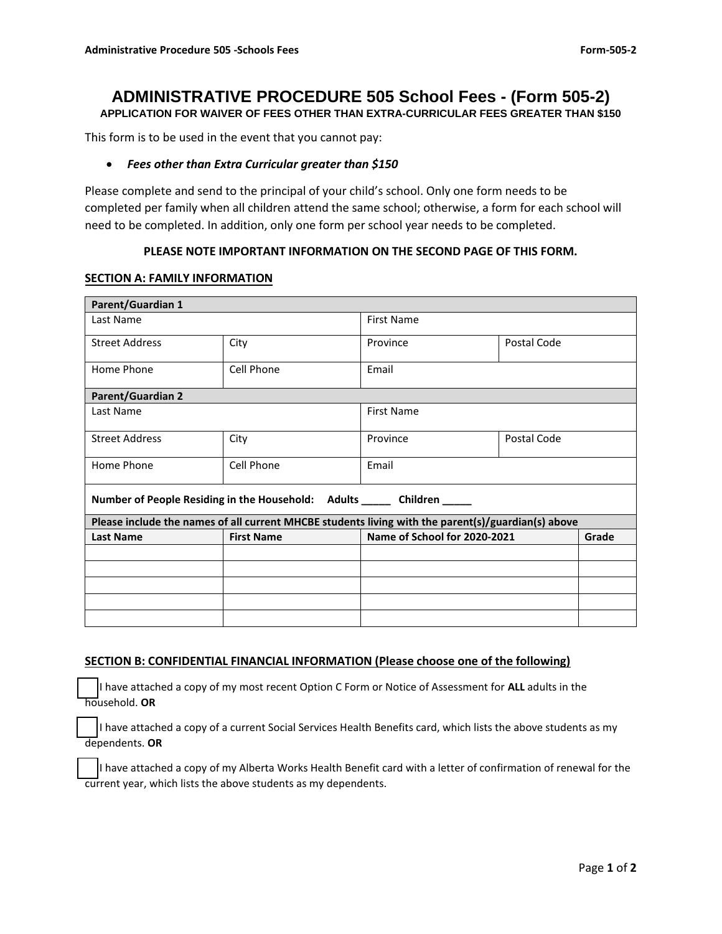# **ADMINISTRATIVE PROCEDURE 505 School Fees - (Form 505-2)**

**APPLICATION FOR WAIVER OF FEES OTHER THAN EXTRA-CURRICULAR FEES GREATER THAN \$150** 

This form is to be used in the event that you cannot pay:

## *Fees other than Extra Curricular greater than \$150*

Please complete and send to the principal of your child's school. Only one form needs to be completed per family when all children attend the same school; otherwise, a form for each school will need to be completed. In addition, only one form per school year needs to be completed.

## **PLEASE NOTE IMPORTANT INFORMATION ON THE SECOND PAGE OF THIS FORM.**

#### **SECTION A: FAMILY INFORMATION**

| <b>Parent/Guardian 1</b>                                                                           |                   |                                       |             |  |  |
|----------------------------------------------------------------------------------------------------|-------------------|---------------------------------------|-------------|--|--|
| Last Name                                                                                          |                   | <b>First Name</b>                     |             |  |  |
| <b>Street Address</b>                                                                              | City              | Province                              | Postal Code |  |  |
| Home Phone                                                                                         | Cell Phone        | Email                                 |             |  |  |
| <b>Parent/Guardian 2</b>                                                                           |                   |                                       |             |  |  |
| Last Name                                                                                          |                   | <b>First Name</b>                     |             |  |  |
| <b>Street Address</b>                                                                              | City              | Province                              | Postal Code |  |  |
| Home Phone                                                                                         | Cell Phone        | Email                                 |             |  |  |
| Number of People Residing in the Household: Adults ______ Children _____                           |                   |                                       |             |  |  |
| Please include the names of all current MHCBE students living with the parent(s)/guardian(s) above |                   |                                       |             |  |  |
| <b>Last Name</b>                                                                                   | <b>First Name</b> | Name of School for 2020-2021<br>Grade |             |  |  |
|                                                                                                    |                   |                                       |             |  |  |
|                                                                                                    |                   |                                       |             |  |  |
|                                                                                                    |                   |                                       |             |  |  |
|                                                                                                    |                   |                                       |             |  |  |
|                                                                                                    |                   |                                       |             |  |  |

#### **SECTION B: CONFIDENTIAL FINANCIAL INFORMATION (Please choose one of the following)**

 I have attached a copy of my most recent Option C Form or Notice of Assessment for **ALL** adults in the household. **OR**

 I have attached a copy of a current Social Services Health Benefits card, which lists the above students as my dependents. **OR**

 I have attached a copy of my Alberta Works Health Benefit card with a letter of confirmation of renewal for the current year, which lists the above students as my dependents.